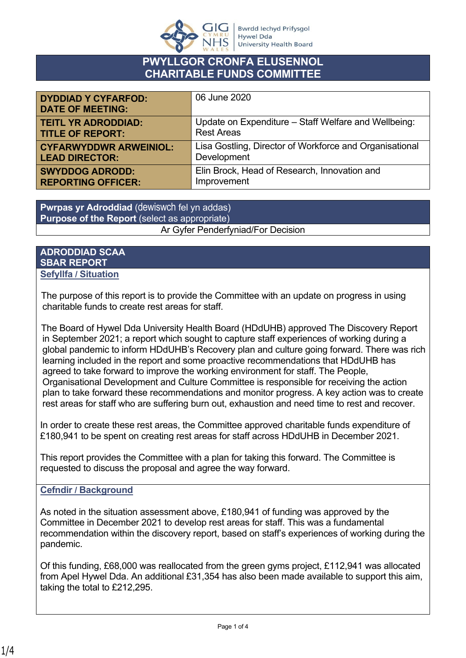

# **PWYLLGOR CRONFA ELUSENNOL CHARITABLE FUNDS COMMITTEE**

| <b>DYDDIAD Y CYFARFOD:</b><br><b>DATE OF MEETING:</b> | 06 June 2020                                            |
|-------------------------------------------------------|---------------------------------------------------------|
| <b>TEITL YR ADRODDIAD:</b>                            | Update on Expenditure - Staff Welfare and Wellbeing:    |
| <b>TITLE OF REPORT:</b>                               | <b>Rest Areas</b>                                       |
| <b>CYFARWYDDWR ARWEINIOL:</b>                         | Lisa Gostling, Director of Workforce and Organisational |
| <b>LEAD DIRECTOR:</b>                                 | Development                                             |
| <b>SWYDDOG ADRODD:</b>                                | Elin Brock, Head of Research, Innovation and            |
| <b>REPORTING OFFICER:</b>                             | Improvement                                             |

**Pwrpas yr Adroddiad** (dewiswch fel yn addas) **Purpose of the Report** (select as appropriate) Ar Gyfer Penderfyniad/For Decision

#### **ADRODDIAD SCAA SBAR REPORT Sefyllfa / Situation**

The purpose of this report is to provide the Committee with an update on progress in using charitable funds to create rest areas for staff.

The Board of Hywel Dda University Health Board (HDdUHB) approved The Discovery Report in September 2021; a report which sought to capture staff experiences of working during a global pandemic to inform HDdUHB's Recovery plan and culture going forward. There was rich learning included in the report and some proactive recommendations that HDdUHB has agreed to take forward to improve the working environment for staff. The People, Organisational Development and Culture Committee is responsible for receiving the action plan to take forward these recommendations and monitor progress. A key action was to create rest areas for staff who are suffering burn out, exhaustion and need time to rest and recover.

In order to create these rest areas, the Committee approved charitable funds expenditure of £180,941 to be spent on creating rest areas for staff across HDdUHB in December 2021.

This report provides the Committee with a plan for taking this forward. The Committee is requested to discuss the proposal and agree the way forward.

## **Cefndir / Background**

As noted in the situation assessment above, £180,941 of funding was approved by the Committee in December 2021 to develop rest areas for staff. This was a fundamental recommendation within the discovery report, based on staff's experiences of working during the pandemic.

Of this funding, £68,000 was reallocated from the green gyms project, £112,941 was allocated from Apel Hywel Dda. An additional £31,354 has also been made available to support this aim, taking the total to £212,295.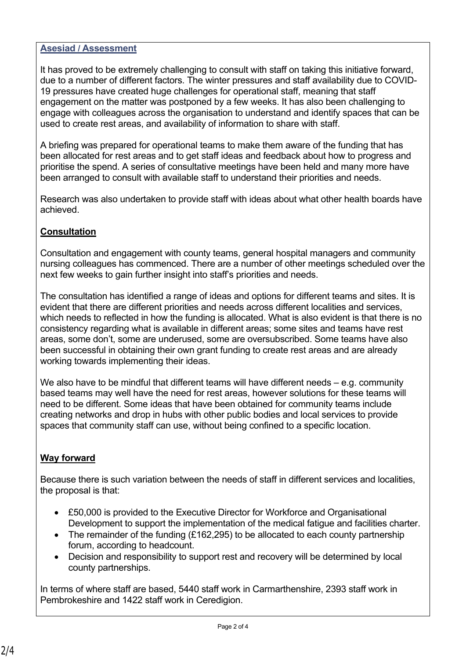### **Asesiad / Assessment**

It has proved to be extremely challenging to consult with staff on taking this initiative forward, due to a number of different factors. The winter pressures and staff availability due to COVID-19 pressures have created huge challenges for operational staff, meaning that staff engagement on the matter was postponed by a few weeks. It has also been challenging to engage with colleagues across the organisation to understand and identify spaces that can be used to create rest areas, and availability of information to share with staff.

A briefing was prepared for operational teams to make them aware of the funding that has been allocated for rest areas and to get staff ideas and feedback about how to progress and prioritise the spend. A series of consultative meetings have been held and many more have been arranged to consult with available staff to understand their priorities and needs.

Research was also undertaken to provide staff with ideas about what other health boards have achieved.

### **Consultation**

Consultation and engagement with county teams, general hospital managers and community nursing colleagues has commenced. There are a number of other meetings scheduled over the next few weeks to gain further insight into staff's priorities and needs.

The consultation has identified a range of ideas and options for different teams and sites. It is evident that there are different priorities and needs across different localities and services, which needs to reflected in how the funding is allocated. What is also evident is that there is no consistency regarding what is available in different areas; some sites and teams have rest areas, some don't, some are underused, some are oversubscribed. Some teams have also been successful in obtaining their own grant funding to create rest areas and are already working towards implementing their ideas.

We also have to be mindful that different teams will have different needs – e.g. community based teams may well have the need for rest areas, however solutions for these teams will need to be different. Some ideas that have been obtained for community teams include creating networks and drop in hubs with other public bodies and local services to provide spaces that community staff can use, without being confined to a specific location.

## **Way forward**

Because there is such variation between the needs of staff in different services and localities, the proposal is that:

- £50,000 is provided to the Executive Director for Workforce and Organisational Development to support the implementation of the medical fatigue and facilities charter.
- The remainder of the funding (£162,295) to be allocated to each county partnership forum, according to headcount.
- Decision and responsibility to support rest and recovery will be determined by local county partnerships.

In terms of where staff are based, 5440 staff work in Carmarthenshire, 2393 staff work in Pembrokeshire and 1422 staff work in Ceredigion.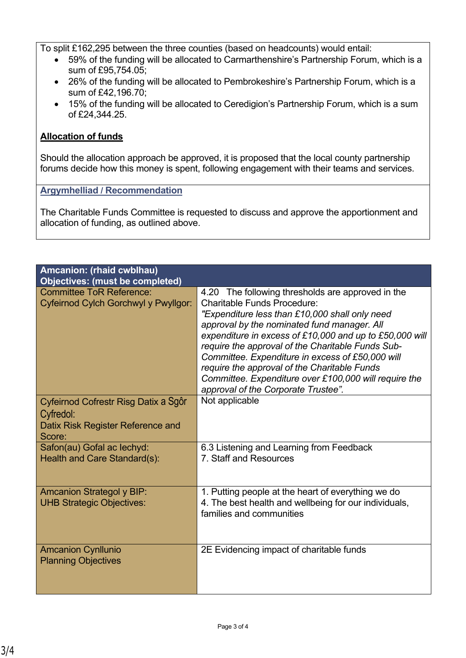To split £162,295 between the three counties (based on headcounts) would entail:

- 59% of the funding will be allocated to Carmarthenshire's Partnership Forum, which is a sum of £95,754.05;
- 26% of the funding will be allocated to Pembrokeshire's Partnership Forum, which is a sum of £42,196.70;
- 15% of the funding will be allocated to Ceredigion's Partnership Forum, which is a sum of £24,344.25.

### **Allocation of funds**

Should the allocation approach be approved, it is proposed that the local county partnership forums decide how this money is spent, following engagement with their teams and services.

#### **Argymhelliad / Recommendation**

The Charitable Funds Committee is requested to discuss and approve the apportionment and allocation of funding, as outlined above.

| Amcanion: (rhaid cwblhau)<br><b>Objectives: (must be completed)</b>                              |                                                                                                                                                                                                                                                                                                                                                                                                                                                                                                              |
|--------------------------------------------------------------------------------------------------|--------------------------------------------------------------------------------------------------------------------------------------------------------------------------------------------------------------------------------------------------------------------------------------------------------------------------------------------------------------------------------------------------------------------------------------------------------------------------------------------------------------|
| <b>Committee ToR Reference:</b><br>Cyfeirnod Cylch Gorchwyl y Pwyllgor:                          | 4.20 The following thresholds are approved in the<br><b>Charitable Funds Procedure:</b><br>"Expenditure less than £10,000 shall only need<br>approval by the nominated fund manager. All<br>expenditure in excess of £10,000 and up to £50,000 will<br>require the approval of the Charitable Funds Sub-<br>Committee. Expenditure in excess of £50,000 will<br>require the approval of the Charitable Funds<br>Committee. Expenditure over £100,000 will require the<br>approval of the Corporate Trustee". |
| Cyfeirnod Cofrestr Risg Datix a Sgôr<br>Cyfredol:<br>Datix Risk Register Reference and<br>Score: | Not applicable                                                                                                                                                                                                                                                                                                                                                                                                                                                                                               |
| Safon(au) Gofal ac lechyd:<br>Health and Care Standard(s):                                       | 6.3 Listening and Learning from Feedback<br>7. Staff and Resources                                                                                                                                                                                                                                                                                                                                                                                                                                           |
| <b>Amcanion Strategol y BIP:</b><br><b>UHB Strategic Objectives:</b>                             | 1. Putting people at the heart of everything we do<br>4. The best health and wellbeing for our individuals,<br>families and communities                                                                                                                                                                                                                                                                                                                                                                      |
| <b>Amcanion Cynllunio</b><br><b>Planning Objectives</b>                                          | 2E Evidencing impact of charitable funds                                                                                                                                                                                                                                                                                                                                                                                                                                                                     |